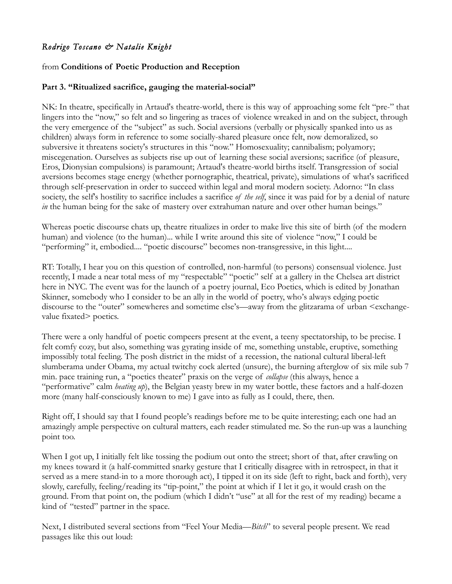# *Rodrigo Toscano & Natalie Knight*

## from **Conditions of Poetic Production and Reception**

### **Part 3. "Ritualized sacrifice, gauging the material-social"**

NK: In theatre, specifically in Artaud's theatre-world, there is this way of approaching some felt "pre-" that lingers into the "now," so felt and so lingering as traces of violence wreaked in and on the subject, through the very emergence of the "subject" as such. Social aversions (verbally or physically spanked into us as children) always form in reference to some socially-shared pleasure once felt, now demoralized, so subversive it threatens society's structures in this "now." Homosexuality; cannibalism; polyamory; miscegenation. Ourselves as subjects rise up out of learning these social aversions; sacrifice (of pleasure, Eros, Dionysian compulsions) is paramount; Artaud's theatre-world births itself. Transgression of social aversions becomes stage energy (whether pornographic, theatrical, private), simulations of what's sacrificed through self-preservation in order to succeed within legal and moral modern society. Adorno: "In class society, the self's hostility to sacrifice includes a sacrifice *of the self*, since it was paid for by a denial of nature *in* the human being for the sake of mastery over extrahuman nature and over other human beings."

Whereas poetic discourse chats up, theatre ritualizes in order to make live this site of birth (of the modern human) and violence (to the human)... while I write around this site of violence "now," I could be "performing" it, embodied.... "poetic discourse" becomes non-transgressive, in this light....

RT: Totally, I hear you on this question of controlled, non-harmful (to persons) consensual violence. Just recently, I made a near total mess of my "respectable" "poetic" self at a gallery in the Chelsea art district here in NYC. The event was for the launch of a poetry journal, Eco Poetics, which is edited by Jonathan Skinner, somebody who I consider to be an ally in the world of poetry, who's always edging poetic discourse to the "outer" somewheres and sometime else's—away from the glitzarama of urban <exchangevalue fixated> poetics.

There were a only handful of poetic compeers present at the event, a teeny spectatorship, to be precise. I felt comfy cozy, but also, something was gyrating inside of me, something unstable, eruptive, something impossibly total feeling. The posh district in the midst of a recession, the national cultural liberal-left slumberama under Obama, my actual twitchy cock alerted (unsure), the burning afterglow of six mile sub 7 min. pace training run, a "poetics theater" praxis on the verge of *collapse* (this always, hence a "performative" calm *heating up*), the Belgian yeasty brew in my water bottle, these factors and a half-dozen more (many half-consciously known to me) I gave into as fully as I could, there, then.

Right off, I should say that I found people's readings before me to be quite interesting; each one had an amazingly ample perspective on cultural matters, each reader stimulated me. So the run-up was a launching point too.

When I got up, I initially felt like tossing the podium out onto the street; short of that, after crawling on my knees toward it (a half-committed snarky gesture that I critically disagree with in retrospect, in that it served as a mere stand-in to a more thorough act), I tipped it on its side (left to right, back and forth), very slowly, carefully, feeling/reading its "tip-point," the point at which if I let it go, it would crash on the ground. From that point on, the podium (which I didn't "use" at all for the rest of my reading) became a kind of "tested" partner in the space.

Next, I distributed several sections from "Feel Your Media—*Bitch*" to several people present. We read passages like this out loud: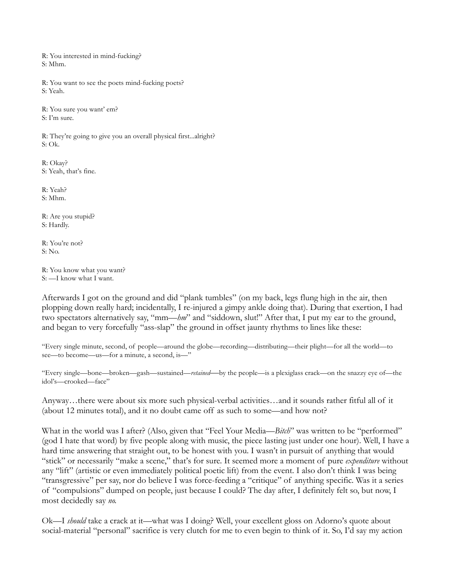R: You interested in mind-fucking? S: Mhm.

R: You want to see the poets mind-fucking poets? S: Yeah.

R: You sure you want' em? S: I'm sure.

R: They're going to give you an overall physical first...alright? S: Ok.

R: Okay? S: Yeah, that's fine.

R: Yeah? S: Mhm.

R: Are you stupid? S: Hardly.

R: You're not? S: No.

R: You know what you want? S: —I know what I want.

Afterwards I got on the ground and did "plank tumbles" (on my back, legs flung high in the air, then plopping down really hard; incidentally, I re-injured a gimpy ankle doing that). During that exertion, I had two spectators alternatively say, "mm—*hm*" and "siddown, slut!" After that, I put my ear to the ground, and began to very forcefully "ass-slap" the ground in offset jaunty rhythms to lines like these:

"Every single minute, second, of people—around the globe—recording—distributing—their plight—for all the world—to see—to become—us—for a minute, a second, is—"

"Every single—bone—broken—gash—sustained—*retained*—by the people—is a plexiglass crack—on the snazzy eye of—the idol's—crooked—face"

Anyway…there were about six more such physical-verbal activities…and it sounds rather fitful all of it (about 12 minutes total), and it no doubt came off as such to some—and how not?

What in the world was I after? (Also, given that "Feel Your Media—*Bitch*" was written to be "performed" (god I hate that word) by five people along with music, the piece lasting just under one hour). Well, I have a hard time answering that straight out, to be honest with you. I wasn't in pursuit of anything that would "stick" or necessarily "make a scene," that's for sure. It seemed more a moment of pure *expenditure* without any "lift" (artistic or even immediately political poetic lift) from the event. I also don't think I was being "transgressive" per say, nor do believe I was force-feeding a "critique" of anything specific. Was it a series of "compulsions" dumped on people, just because I could? The day after, I definitely felt so, but now, I most decidedly say *no.* 

Ok—I *should* take a crack at it—what was I doing? Well, your excellent gloss on Adorno's quote about social-material "personal" sacrifice is very clutch for me to even begin to think of it. So, I'd say my action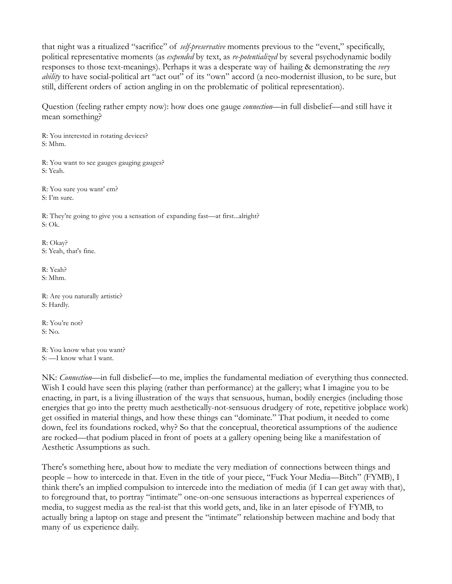that night was a ritualized "sacrifice" of *self-preservative* moments previous to the "event," specifically, political representative moments (as *expended* by text, as *re-potentialized* by several psychodynamic bodily responses to those text-meanings). Perhaps it was a desperate way of hailing & demonstrating the *very ability* to have social-political art "act out" of its "own" accord (a neo-modernist illusion, to be sure, but still, different orders of action angling in on the problematic of political representation).

Question (feeling rather empty now): how does one gauge *connection—*in full disbelief—and still have it mean something?

R: You interested in rotating devices? S: Mhm.

R: You want to see gauges gauging gauges? S: Yeah.

R: You sure you want' em? S: I'm sure.

R: They're going to give you a sensation of expanding fast—at first...alright? S: Ok.

R: Okay? S: Yeah, that's fine.

R: Yeah? S: Mhm.

R: Are you naturally artistic? S: Hardly.

R: You're not? S: No.

R: You know what you want? S: —I know what I want.

NK: *Connection—*in full disbelief—to me, implies the fundamental mediation of everything thus connected. Wish I could have seen this playing (rather than performance) at the gallery; what I imagine you to be enacting, in part, is a living illustration of the ways that sensuous, human, bodily energies (including those energies that go into the pretty much aesthetically-not-sensuous drudgery of rote, repetitive jobplace work) get ossified in material things, and how these things can "dominate." That podium, it needed to come down, feel its foundations rocked, why? So that the conceptual, theoretical assumptions of the audience are rocked—that podium placed in front of poets at a gallery opening being like a manifestation of Aesthetic Assumptions as such.

There's something here, about how to mediate the very mediation of connections between things and people – how to intercede in that. Even in the title of your piece, "Fuck Your Media—Bitch" (FYMB), I think there's an implied compulsion to intercede into the mediation of media (if I can get away with that), to foreground that, to portray "intimate" one-on-one sensuous interactions as hyperreal experiences of media, to suggest media as the real-ist that this world gets, and, like in an later episode of FYMB, to actually bring a laptop on stage and present the "intimate" relationship between machine and body that many of us experience daily.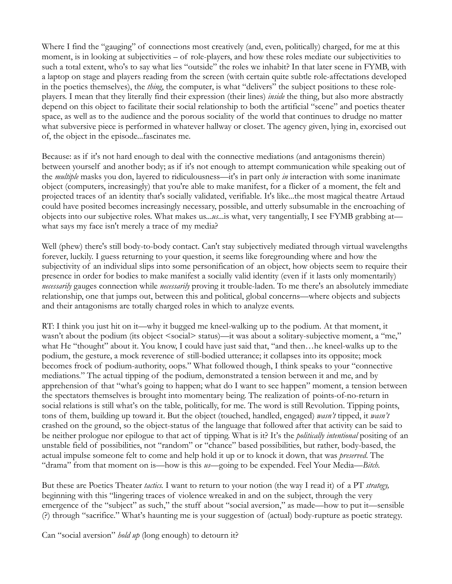Where I find the "gauging" of connections most creatively (and, even, politically) charged, for me at this moment, is in looking at subjectivities – of role-players, and how these roles mediate our subjectivities to such a total extent, who's to say what lies "outside" the roles we inhabit? In that later scene in FYMB, with a laptop on stage and players reading from the screen (with certain quite subtle role-affectations developed in the poetics themselves), the *thing*, the computer, is what "delivers" the subject positions to these roleplayers. I mean that they literally find their expression (their lines) *inside* the thing, but also more abstractly depend on this object to facilitate their social relationship to both the artificial "scene" and poetics theater space, as well as to the audience and the porous sociality of the world that continues to drudge no matter what subversive piece is performed in whatever hallway or closet. The agency given, lying in, exorcised out of, the object in the episode...fascinates me.

Because: as if it's not hard enough to deal with the connective mediations (and antagonisms therein) between yourself and another body; as if it's not enough to attempt communication while speaking out of the *multiple* masks you don, layered to ridiculousness—it's in part only *in* interaction with some inanimate object (computers, increasingly) that you're able to make manifest, for a flicker of a moment, the felt and projected traces of an identity that's socially validated, verifiable. It's like...the most magical theatre Artaud could have posited becomes increasingly necessary, possible, and utterly subsumable in the encroaching of objects into our subjective roles. What makes us...*us*...is what, very tangentially, I see FYMB grabbing at what says my face isn't merely a trace of my media?

Well (phew) there's still body-to-body contact. Can't stay subjectively mediated through virtual wavelengths forever, luckily. I guess returning to your question, it seems like foregrounding where and how the subjectivity of an individual slips into some personification of an object, how objects seem to require their presence in order for bodies to make manifest a socially valid identity (even if it lasts only momentarily) *necessarily* gauges connection while *necessarily* proving it trouble-laden. To me there's an absolutely immediate relationship, one that jumps out, between this and political, global concerns—where objects and subjects and their antagonisms are totally charged roles in which to analyze events.

RT: I think you just hit on it—why it bugged me kneel-walking up to the podium. At that moment, it wasn't about the podium (its object <social> status)—it was about a solitary-subjective moment, a "me," what He "thought" about it. You know, I could have just said that, "and then…he kneel-walks up to the podium, the gesture, a mock reverence of still-bodied utterance; it collapses into its opposite; mock becomes frock of podium-authority, oops." What followed though, I think speaks to your "connective mediations." The actual tipping of the podium, demonstrated a tension between it and me, and by apprehension of that "what's going to happen; what do I want to see happen" moment, a tension between the spectators themselves is brought into momentary being. The realization of points-of-no-return in social relations is still what's on the table, politically, for me. The word is still Revolution. Tipping points, tons of them, building up toward it. But the object (touched, handled, engaged) *wasn't* tipped, it *wasn't*  crashed on the ground, so the object-status of the language that followed after that activity can be said to be neither prologue nor epilogue to that act of tipping. What is it? It's the *politically intentional* positing of an unstable field of possibilities, not "random" or "chance" based possibilities, but rather, body-based, the actual impulse someone felt to come and help hold it up or to knock it down, that was *preserved*. The "drama" from that moment on is—how is this *us*—going to be expended. Feel Your Media—*Bitch.*

But these are Poetics Theater *tactics.* I want to return to your notion (the way I read it) of a PT *strategy,*  beginning with this "lingering traces of violence wreaked in and on the subject, through the very emergence of the "subject" as such," the stuff about "social aversion," as made—how to put it—sensible (?) through "sacrifice." What's haunting me is your suggestion of (actual) body-rupture as poetic strategy.

Can "social aversion" *hold up* (long enough) to detourn it?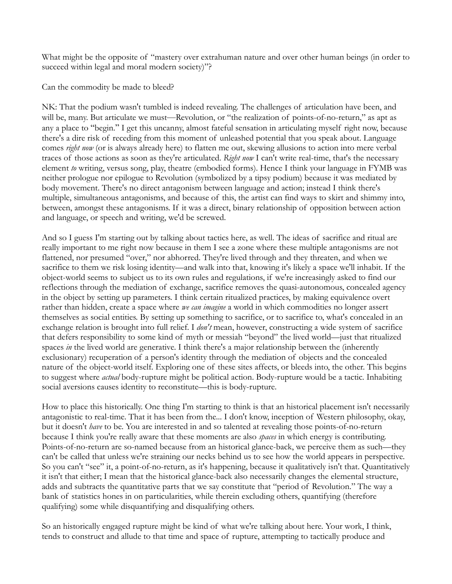What might be the opposite of "mastery over extrahuman nature and over other human beings (in order to succeed within legal and moral modern society)"?

Can the commodity be made to bleed?

NK: That the podium wasn't tumbled is indeed revealing. The challenges of articulation have been, and will be, many. But articulate we must—Revolution, or "the realization of points-of-no-return," as apt as any a place to "begin." I get this uncanny, almost fateful sensation in articulating myself right now, because there's a dire risk of receding from this moment of unleashed potential that you speak about. Language comes *right now* (or is always already here) to flatten me out, skewing allusions to action into mere verbal traces of those actions as soon as they're articulated. *Right now* I can't write real-time, that's the necessary element *to* writing, versus song, play, theatre (embodied forms). Hence I think your language in FYMB was neither prologue nor epilogue to Revolution (symbolized by a tipsy podium) because it was mediated by body movement. There's no direct antagonism between language and action; instead I think there's multiple, simultaneous antagonisms, and because of this, the artist can find ways to skirt and shimmy into, between, amongst these antagonisms. If it was a direct, binary relationship of opposition between action and language, or speech and writing, we'd be screwed.

And so I guess I'm starting out by talking about tactics here, as well. The ideas of sacrifice and ritual are really important to me right now because in them I see a zone where these multiple antagonisms are not flattened, nor presumed "over," nor abhorred. They're lived through and they threaten, and when we sacrifice to them we risk losing identity—and walk into that, knowing it's likely a space we'll inhabit. If the object-world seems to subject us to its own rules and regulations, if we're increasingly asked to find our reflections through the mediation of exchange, sacrifice removes the quasi-autonomous, concealed agency in the object by setting up parameters. I think certain ritualized practices, by making equivalence overt rather than hidden, create a space where *we can imagine* a world in which commodities no longer assert themselves as social entities. By setting up something to sacrifice, or to sacrifice to, what's concealed in an exchange relation is brought into full relief. I *don't* mean, however, constructing a wide system of sacrifice that defers responsibility to some kind of myth or messiah "beyond" the lived world—just that ritualized spaces *in* the lived world are generative. I think there's a major relationship between the (inherently exclusionary) recuperation of a person's identity through the mediation of objects and the concealed nature of the object-world itself. Exploring one of these sites affects, or bleeds into, the other. This begins to suggest where *actual* body-rupture might be political action. Body-rupture would be a tactic. Inhabiting social aversions causes identity to reconstitute—this is body-rupture.

How to place this historically. One thing I'm starting to think is that an historical placement isn't necessarily antagonistic to real-time. That it has been from the... I don't know, inception of Western philosophy, okay, but it doesn't *have* to be. You are interested in and so talented at revealing those points-of-no-return because I think you're really aware that these moments are also *spaces* in which energy is contributing. Points-of-no-return are so-named because from an historical glance-back, we perceive them as such—they can't be called that unless we're straining our necks behind us to see how the world appears in perspective. So you can't "see" it, a point-of-no-return, as it's happening, because it qualitatively isn't that. Quantitatively it isn't that either; I mean that the historical glance-back also necessarily changes the elemental structure, adds and subtracts the quantitative parts that we say constitute that "period of Revolution." The way a bank of statistics hones in on particularities, while therein excluding others, quantifying (therefore qualifying) some while disquantifying and disqualifying others.

So an historically engaged rupture might be kind of what we're talking about here. Your work, I think, tends to construct and allude to that time and space of rupture, attempting to tactically produce and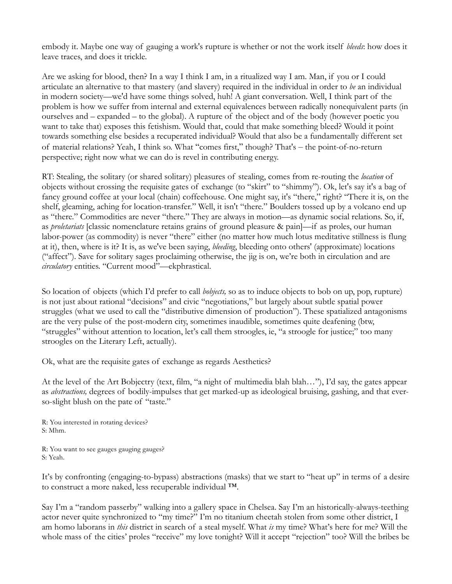embody it. Maybe one way of gauging a work's rupture is whether or not the work itself *bleeds*: how does it leave traces, and does it trickle.

Are we asking for blood, then? In a way I think I am, in a ritualized way I am. Man, if you or I could articulate an alternative to that mastery (and slavery) required in the individual in order to *be* an individual in modern society—we'd have some things solved, huh! A giant conversation. Well, I think part of the problem is how we suffer from internal and external equivalences between radically nonequivalent parts (in ourselves and – expanded – to the global). A rupture of the object and of the body (however poetic you want to take that) exposes this fetishism. Would that, could that make something bleed? Would it point towards something else besides a recuperated individual? Would that also be a fundamentally different set of material relations? Yeah, I think so. What "comes first," though? That's – the point-of-no-return perspective; right now what we can do is revel in contributing energy.

RT: Stealing, the solitary (or shared solitary) pleasures of stealing, comes from re-routing the *location* of objects without crossing the requisite gates of exchange (to "skirt" to "shimmy"). Ok, let's say it's a bag of fancy ground coffee at your local (chain) coffeehouse. One might say, it's "there," right? "There it is, on the shelf, gleaming, aching for location-transfer." Well, it isn't "there." Boulders tossed up by a volcano end up as "there." Commodities are never "there." They are always in motion—as dynamic social relations. So, if, as *proletariats* [classic nomenclature retains grains of ground pleasure & pain]—if as proles, our human labor-power (as commodity) is never "there" either (no matter how much lotus meditative stillness is flung at it), then, where is it? It is, as we've been saying, *bleeding*, bleeding onto others' (approximate) locations ("affect"). Save for solitary sages proclaiming otherwise, the jig is on, we're both in circulation and are *circulatory* entities. "Current mood"—ekphrastical.

So location of objects (which I'd prefer to call *bobjects,* so as to induce objects to bob on up, pop, rupture) is not just about rational "decisions" and civic "negotiations," but largely about subtle spatial power struggles (what we used to call the "distributive dimension of production"). These spatialized antagonisms are the very pulse of the post-modern city, sometimes inaudible, sometimes quite deafening (btw, "struggles" without attention to location, let's call them stroogles, ie, "a stroogle for justice;" too many stroogles on the Literary Left, actually).

Ok, what are the requisite gates of exchange as regards Aesthetics?

At the level of the Art Bobjectry (text, film, "a night of multimedia blah blah…"), I'd say, the gates appear as *abstractions,* degrees of bodily-impulses that get marked-up as ideological bruising, gashing, and that everso-slight blush on the pate of "taste."

R: You interested in rotating devices? S: Mhm.

R: You want to see gauges gauging gauges? S: Yeah.

It's by confronting (engaging-to-bypass) abstractions (masks) that we start to "heat up" in terms of a desire to construct a more naked, less recuperable individual ™.

Say I'm a "random passerby" walking into a gallery space in Chelsea. Say I'm an historically-always-teething actor never quite synchronized to "my time?" I'm no titanium cheetah stolen from some other district, I am homo laborans in *this* district in search of a steal myself. What *is* my time? What's here for me? Will the whole mass of the cities' proles "receive" my love tonight? Will it accept "rejection" too? Will the bribes be